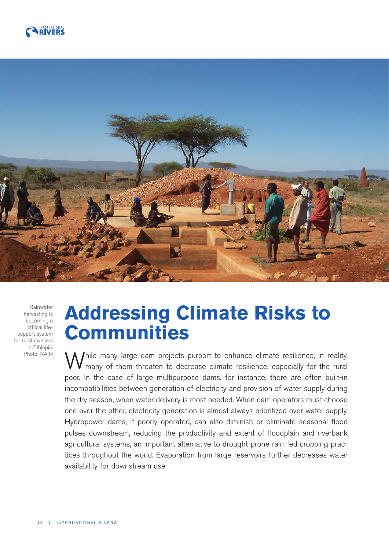



Rainwater harvesting is becoming a critical lifesupport system for rural dwellers in Ethiopia. Photo: RAIN

# **Addressing Climate Risks to Communities**

While many large dam projects purport to enhance climate resilience, in reality, many of them threaten to decrease climate resilience, especially for the rural poor. In the case of large multipurpose dams, for instance, there are often built-in incompatibilities between generation of electricity and provision of water supply during the dry season, when water delivery is most needed. When dam operators must choose one over the other, electricity generation is almost always prioritized over water supply. Hydropower dams, if poorly operated, can also diminish or eliminate seasonal flood pulses downstream, reducing the productivity and extent of floodplain and riverbank agricultural systems, an important alternative to drought-prone rain-fed cropping practices throughout the world. Evaporation from large reservoirs further decreases water availability for downstream use.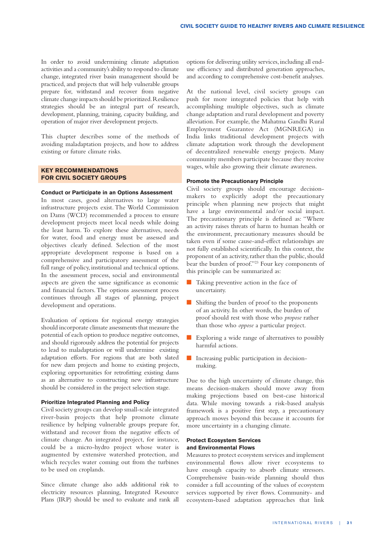In order to avoid undermining climate adaptation activities and a community's ability to respond to climate change, integrated river basin management should be practiced, and projects that will help vulnerable groups prepare for, withstand and recover from negative climate change impacts should be prioritized. Resilience strategies should be an integral part of research, development, planning, training, capacity building, and operation of major river development projects.

This chapter describes some of the methods of avoiding maladaptation projects, and how to address existing or future climate risks.

## **KEY RECOMMENDATIONS FOR CIVIL SOCIETY GROUPS**

#### **Conduct or Participate in an Options Assessment**

In most cases, good alternatives to large water infrastructure projects exist. The World Commission on Dams (WCD) recommended a process to ensure development projects meet local needs while doing the least harm. To explore these alternatives, needs for water, food and energy must be assessed and objectives clearly defined. Selection of the most appropriate development response is based on a comprehensive and participatory assessment of the full range of policy, institutional and technical options. In the assessment process, social and environmental aspects are given the same significance as economic and financial factors. The options assessment process continues through all stages of planning, project development and operations.

Evaluation of options for regional energy strategies should incorporate climate assessments that measure the potential of each option to produce negative outcomes, and should rigorously address the potential for projects to lead to maladaptation or will undermine existing adaptation efforts. For regions that are both slated for new dam projects and home to existing projects, exploring opportunities for retrofitting existing dams as an alternative to constructing new infrastructure should be considered in the project selection stage.

### **Prioritize Integrated Planning and Policy**

Civil society groups can develop small-scale integrated river-basin projects that help promote climate resilience by helping vulnerable groups prepare for, withstand and recover from the negative effects of climate change. An integrated project, for instance, could be a micro-hydro project whose water is augmented by extensive watershed protection, and which recycles water coming out from the turbines to be used on croplands.

Since climate change also adds additional risk to electricity resources planning, Integrated Resource Plans (IRP) should be used to evaluate and rank all options for delivering utility services, including all enduse efficiency and distributed generation approaches, and according to comprehensive cost-benefit analyses.

At the national level, civil society groups can push for more integrated policies that help with accomplishing multiple objectives, such as climate change adaptation and rural development and poverty alleviation. For example, the Mahatma Gandhi Rural Employment Guarantee Act (MGNREGA) in India links traditional development projects with climate adaptation work through the development of decentralized renewable energy projects. Many community members participate because they receive wages, while also growing their climate awareness.

# **Promote the Precautionary Principle**

Civil society groups should encourage decisionmakers to explicitly adopt the precautionary principle when planning new projects that might have a large environmental and/or social impact. The precautionary principle is defined as: "Where an activity raises threats of harm to human health or the environment, precautionary measures should be taken even if some cause-and-effect relationships are not fully established scientifically. In this context, the proponent of an activity, rather than the public, should bear the burden of proof."23 Four key components of this principle can be summarized as:

- **Taking preventive action in the face of** uncertainty.
- Shifting the burden of proof to the proponents of an activity. In other words, the burden of proof should rest with those who *propose* rather than those who *oppose* a particular project.
- Exploring a wide range of alternatives to possibly harmful actions.
- **D** Increasing public participation in decisionmaking.

Due to the high uncertainty of climate change, this means decision-makers should move away from making projections based on best-case historical data. While moving towards a risk-based analysis framework is a positive first step, a precautionary approach moves beyond this because it accounts for more uncertainty in a changing climate.

# **Protect Ecosystem Services and Environmental Flows**

Measures to protect ecosystem services and implement environmental flows allow river ecosystems to have enough capacity to absorb climate stressors. Comprehensive basin-wide planning should thus consider a full accounting of the values of ecosystem services supported by river flows. Community- and ecosystem-based adaptation approaches that link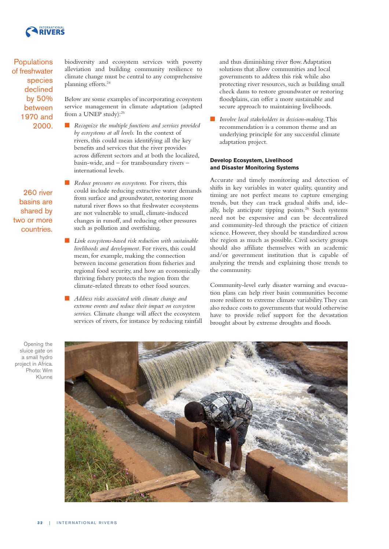

**Populations** of freshwater species declined by 50% between 1970 and 2000.

260 river basins are shared by two or more countries. biodiversity and ecosystem services with poverty alleviation and building community resilience to climate change must be central to any comprehensive planning efforts.24

Below are some examples of incorporating ecosystem service management in climate adaptation (adapted from a UNEP study):<sup>25</sup>

**Recognize the multiple functions and services provided** *by ecosystems at all levels.* In the context of rivers, this could mean identifying all the key benefits and services that the river provides across different sectors and at both the localized, basin-wide, and – for transboundary rivers – international levels.

**Reduce pressures on ecosystems.** For rivers, this could include reducing extractive water demands from surface and groundwater, restoring more natural river flows so that freshwater ecosystems are not vulnerable to small, climate-induced changes in runoff, and reducing other pressures such as pollution and overfishing.

- Q *Link ecosystems-based risk reduction with sustainable livelihoods and development.* For rivers, this could mean, for example, making the connection between income generation from fisheries and regional food security, and how an economically thriving fishery protects the region from the climate-related threats to other food sources.
- Q *Address risks associated with climate change and extreme events and reduce their impact on ecosystem services.* Climate change will affect the ecosystem services of rivers, for instance by reducing rainfall

and thus diminishing river flow. Adaptation solutions that allow communities and local governments to address this risk while also protecting river resources, such as building small check dams to restore groundwater or restoring floodplains, can offer a more sustainable and secure approach to maintaining livelihoods.

Q *Involve local stakeholders in decision-making*. This recommendation is a common theme and an underlying principle for any successful climate adaptation project.

## **Develop Ecosystem, Livelihood and Disaster Monitoring Systems**

Accurate and timely monitoring and detection of shifts in key variables in water quality, quantity and timing are not perfect means to capture emerging trends, but they can track gradual shifts and, ideally, help anticipate tipping points.28 Such systems need not be expensive and can be decentralized and community-led through the practice of citizen science. However, they should be standardized across the region as much as possible. Civil society groups should also affiliate themselves with an academic and/or government institution that is capable of analyzing the trends and explaining those trends to the community.

Community-level early disaster warning and evacuation plans can help river basin communities become more resilient to extreme climate variability. They can also reduce costs to governments that would otherwise have to provide relief support for the devastation brought about by extreme droughts and floods.

Opening the sluice gate on a small hydro project in Africa. Photo: Wim Klunne

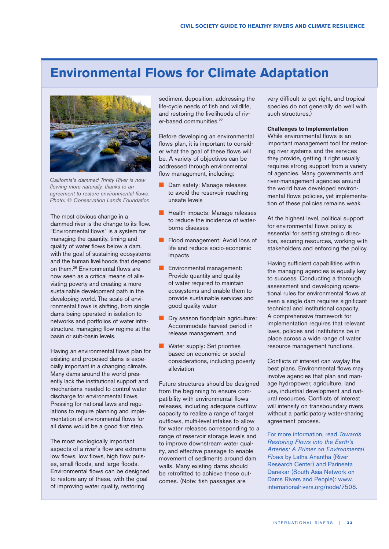# **Environmental Flows for Climate Adaptation**



California's dammed Trinity River is now flowing more naturally, thanks to an agreement to restore environmental flows. Photo: © Conservation Lands Foundation

The most obvious change in a dammed river is the change to its flow. "Environmental flows" is a system for managing the quantity, timing and quality of water flows below a dam, with the goal of sustaining ecosystems and the human livelihoods that depend on them. 26 Environmental flows are now seen as a critical means of alleviating poverty and creating a more sustainable development path in the developing world. The scale of environmental flows is shifting, from single dams being operated in isolation to networks and portfolios of water infrastructure, managing flow regime at the basin or sub-basin levels.

Having an environmental flows plan for existing and proposed dams is especially important in a changing climate. Many dams around the world presently lack the institutional support and mechanisms needed to control water discharge for environmental flows. Pressing for national laws and regulations to require planning and implementation of environmental flows for all dams would be a good first step.

The most ecologically important aspects of a river's flow are extreme low flows, low flows, high flow pulses, small floods, and large floods. Environmental flows can be designed to restore any of these, with the goal of improving water quality, restoring

sediment deposition, addressing the life-cycle needs of fish and wildlife, and restoring the livelihoods of river-based communities. 27

Before developing an environmental flows plan, it is important to consider what the goal of these flows will be. A variety of objectives can be addressed through environmental flow management, including:

- **Dam safety: Manage releases** to avoid the reservoir reaching unsafe levels
- **E** Health impacts: Manage releases to reduce the incidence of waterborne diseases
- **D** Flood management: Avoid loss of life and reduce socio-economic impacts
- **D** Environmental management: Provide quantity and quality of water required to maintain ecosystems and enable them to provide sustainable services and good quality water
- **Dry season floodplain agriculture:** Accommodate harvest period in release management, and
- **Water supply: Set priorities** based on economic or social considerations, including poverty alleviation

Future structures should be designed from the beginning to ensure compatibility with environmental flows releases, including adequate outflow capacity to realize a range of target outflows, multi-level intakes to allow for water releases corresponding to a range of reservoir storage levels and to improve downstream water quality, and effective passage to enable movement of sediments around dam walls. Many existing dams should be retrofitted to achieve these outcomes. (Note: fish passages are

very difficult to get right, and tropical species do not generally do well with such structures.)

### **Challenges to Implementation**

While environmental flows is an important management tool for restoring river systems and the services they provide, getting it right usually requires strong support from a variety of agencies. Many governments and river-management agencies around the world have developed environmental flows policies, yet implementation of these policies remains weak.

At the highest level, political support for environmental flows policy is essential for setting strategic direction, securing resources, working with stakeholders and enforcing the policy.

Having sufficient capabilities within the managing agencies is equally key to success. Conducting a thorough assessment and developing operational rules for environmental flows at even a single dam requires significant technical and institutional capacity. A comprehensive framework for implementation requires that relevant laws, policies and institutions be in place across a wide range of water resource management functions.

Conflicts of interest can waylay the best plans. Environmental flows may involve agencies that plan and manage hydropower, agriculture, land use, industrial development and natural resources. Conflicts of interest will intensify on transboundary rivers without a participatory water-sharing agreement process.

For more information, read Towards Restoring Flows into the Earth's Arteries: A Primer on Environmental Flows by Latha Anantha (River Research Center) and Parineeta Danekar (South Asia Network on Dams Rivers and People): [www.](http://www.internationalrivers.org/node/7508) [internationalrivers.org/node/7508.](http://www.internationalrivers.org/node/7508)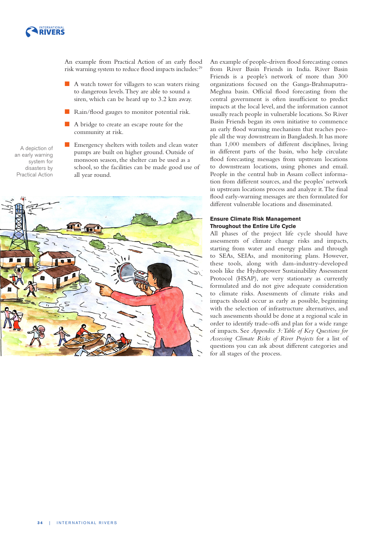

An example from Practical Action of an early flood risk warning system to reduce flood impacts includes: 29

- $\blacksquare$  A watch tower for villagers to scan waters rising to dangerous levels. They are able to sound a siren, which can be heard up to 3.2 km away.
- **E** Rain/flood gauges to monitor potential risk.
- A bridge to create an escape route for the community at risk.

A depiction of an early warning system for disasters by Practical Action **EXECUTE:** Emergency shelters with toilets and clean water pumps are built on higher ground. Outside of monsoon season, the shelter can be used as a school, so the facilities can be made good use of all year round.



An example of people-driven flood forecasting comes from River Basin Friends in India. River Basin Friends is a people's network of more than 300 organizations focused on the Ganga-Brahmaputra-Meghna basin. Official flood forecasting from the central government is often insufficient to predict impacts at the local level, and the information cannot usually reach people in vulnerable locations. So River Basin Friends began its own initiative to commence an early flood warning mechanism that reaches people all the way downstream in Bangladesh. It has more than 1,000 members of different disciplines, living in different parts of the basin, who help circulate flood forecasting messages from upstream locations to downstream locations, using phones and email. People in the central hub in Assam collect information from different sources, and the peoples' network in upstream locations process and analyze it. The final flood early-warning messages are then formulated for different vulnerable locations and disseminated.

### **Ensure Climate Risk Management Throughout the Entire Life Cycle**

All phases of the project life cycle should have assessments of climate change risks and impacts, starting from water and energy plans and through to SEAs, SEIAs, and monitoring plans. However, these tools, along with dam-industry-developed tools like the Hydropower Sustainability Assessment Protocol (HSAP), are very stationary as currently formulated and do not give adequate consideration to climate risks. Assessments of climate risks and impacts should occur as early as possible, beginning with the selection of infrastructure alternatives, and such assessments should be done at a regional scale in order to identify trade-offs and plan for a wide range of impacts. See *Appendix 3: Table of Key Questions for Assessing Climate Risks of River Projects* for a list of questions you can ask about different categories and for all stages of the process.